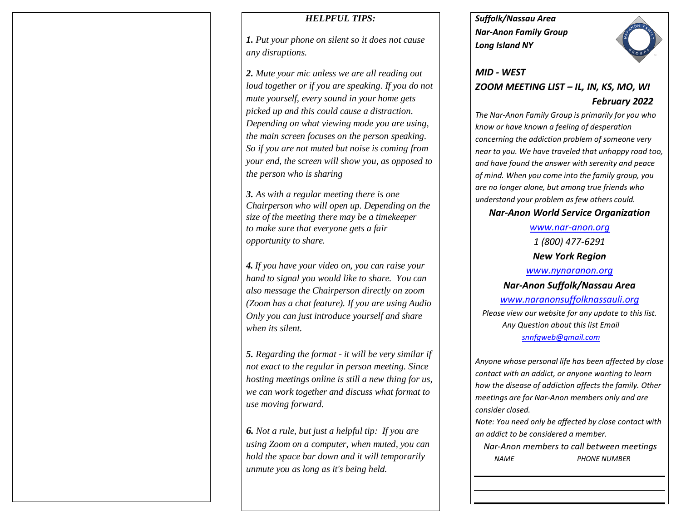## *HELPFUL TIPS:*

*1. Put your phone on silent so it does not cause any disruptions.*

*2. Mute your mic unless we are all reading out loud together or if you are speaking. If you do not mute yourself, every sound in your home gets picked up and this could cause a distraction. Depending on what viewing mode you are using, the main screen focuses on the person speaking. So if you are not muted but noise is coming from your end, the screen will show you, as opposed to the person who is sharing*

*3. As with a regular meeting there is one Chairperson who will open up. Depending on the size of the meeting there may be a timekeeper to make sure that everyone gets a fair opportunity to share.*

*4. If you have your video on, you can raise your hand to signal you would like to share. You can also message the Chairperson directly on zoom (Zoom has a chat feature). If you are using Audio Only you can just introduce yourself and share when its silent.* 

*5. Regarding the format - it will be very similar if not exact to the regular in person meeting. Since hosting meetings online is still a new thing for us, we can work together and discuss what format to use moving forward.*

*6. Not a rule, but just a helpful tip: If you are using Zoom on a computer, when muted, you can hold the space bar down and it will temporarily unmute you as long as it's being held.* 

*Suffolk/Nassau Area Nar-Anon Family Group Long Island NY* 



# *MID - WEST ZOOM MEETING LIST – IL, IN, KS, MO, WI February 2022*

*The Nar-Anon Family Group is primarily for you who know or have known a feeling of desperation concerning the addiction problem of someone very near to you. We have traveled that unhappy road too, and have found the answer with serenity and peace of mind. When you come into the family group, you are no longer alone, but among true friends who understand your problem as few others could.* 

# *Nar-Anon World Service Organization*

*[www.nar-anon.org](http://www.nar-anon.org/) 1 (800) 477-6291 New York Region [www.nynaranon.org](http://www.nynaranon.org/) Nar-Anon Suffolk/Nassau Area [www.naranonsuffolknassauli.org](http://www.naranonsuffolknassauli.org/) Please view our website for any update to this list. Any Question about this list Email [snnfgweb@gmail.com](mailto:snnfgweb@gmail.com)*

*Anyone whose personal life has been affected by close contact with an addict, or anyone wanting to learn how the disease of addiction affects the family. Other meetings are for Nar-Anon members only and are consider closed.*

*Note: You need only be affected by close contact with an addict to be considered a member.*

 *Nar-Anon members to call between meetings NAME PHONE NUMBER*